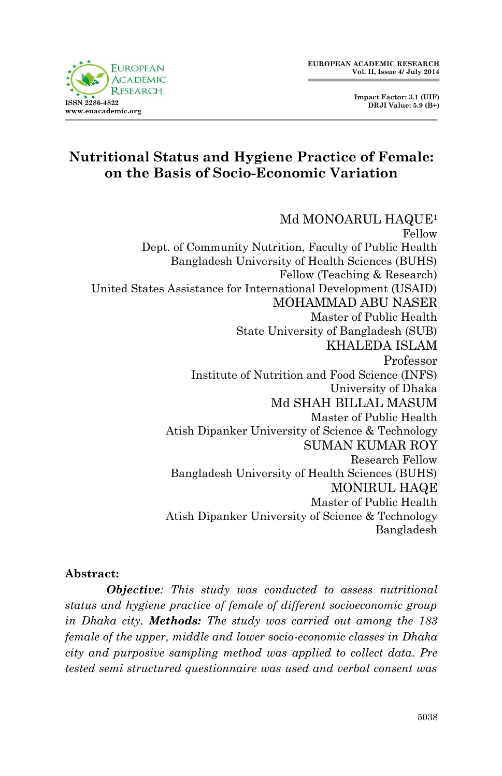**Impact Factor: 3.1 (UIF) DRJI Value: 5.9 (B+)**



# **Nutritional Status and Hygiene Practice of Female: on the Basis of Socio-Economic Variation**

Md MONOARUL HAQUE<sup>1</sup> Fellow Dept. of Community Nutrition, Faculty of Public Health Bangladesh University of Health Sciences (BUHS) Fellow (Teaching & Research) United States Assistance for International Development (USAID) MOHAMMAD ABU NASER Master of Public Health State University of Bangladesh (SUB) KHALEDA ISLAM Professor Institute of Nutrition and Food Science (INFS) University of Dhaka Md SHAH BILLAL MASUM Master of Public Health Atish Dipanker University of Science & Technology SUMAN KUMAR ROY Research Fellow Bangladesh University of Health Sciences (BUHS) MONIRUL HAQE Master of Public Health Atish Dipanker University of Science & Technology Bangladesh

#### **Abstract:**

*Objective: This study was conducted to assess nutritional status and hygiene practice of female of different socioeconomic group in Dhaka city. Methods: The study was carried out among the 183 female of the upper, middle and lower socio-economic classes in Dhaka city and purposive sampling method was applied to collect data. Pre tested semi structured questionnaire was used and verbal consent was*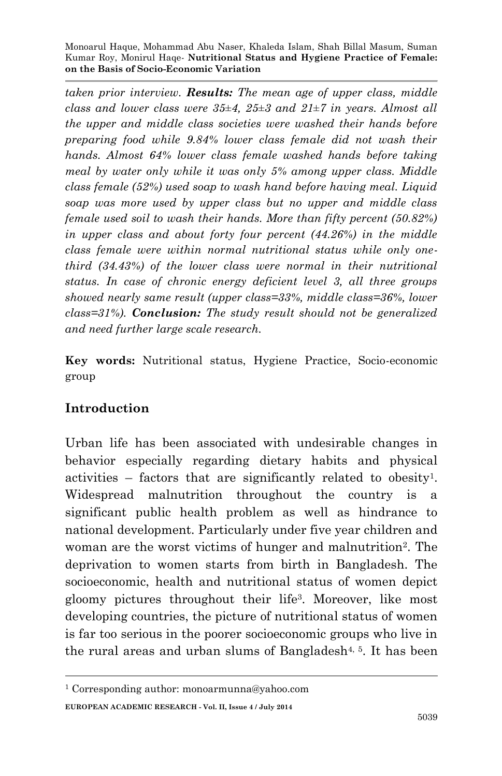*taken prior interview. Results: The mean age of upper class, middle class and lower class were 35±4, 25±3 and 21±7 in years. Almost all the upper and middle class societies were washed their hands before preparing food while 9.84% lower class female did not wash their hands. Almost 64% lower class female washed hands before taking meal by water only while it was only 5% among upper class. Middle class female (52%) used soap to wash hand before having meal. Liquid soap was more used by upper class but no upper and middle class female used soil to wash their hands. More than fifty percent (50.82%) in upper class and about forty four percent (44.26%) in the middle class female were within normal nutritional status while only onethird (34.43%) of the lower class were normal in their nutritional status. In case of chronic energy deficient level 3, all three groups showed nearly same result (upper class=33%, middle class=36%, lower class=31%). Conclusion: The study result should not be generalized and need further large scale research.*

**Key words:** Nutritional status, Hygiene Practice, Socio-economic group

## **Introduction**

**.** 

Urban life has been associated with undesirable changes in behavior especially regarding dietary habits and physical activities – factors that are significantly related to obesity<sup>1</sup> . Widespread malnutrition throughout the country is a significant public health problem as well as hindrance to national development. Particularly under five year children and woman are the worst victims of hunger and malnutrition<sup>2</sup>. The deprivation to women starts from birth in Bangladesh. The socioeconomic, health and nutritional status of women depict gloomy pictures throughout their life<sup>3</sup> . Moreover, like most developing countries, the picture of nutritional status of women is far too serious in the poorer socioeconomic groups who live in the rural areas and urban slums of Bangladesh<sup>4, 5</sup>. It has been

**EUROPEAN ACADEMIC RESEARCH - Vol. II, Issue 4 / July 2014** <sup>1</sup> Corresponding author: monoarmunna@yahoo.com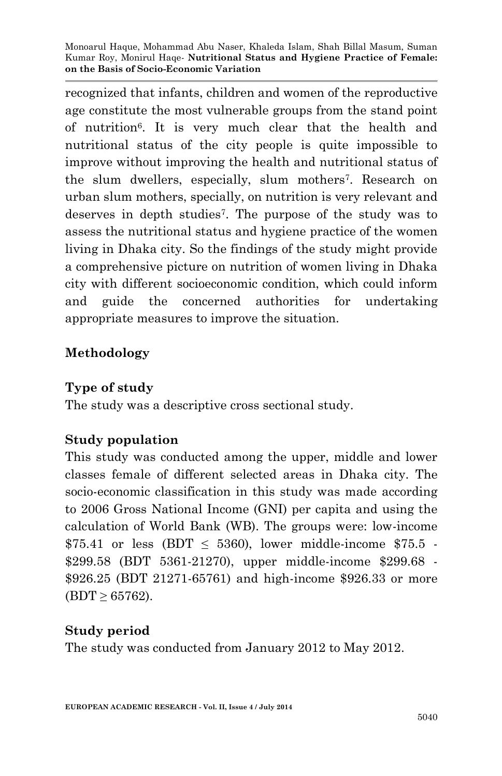recognized that infants, children and women of the reproductive age constitute the most vulnerable groups from the stand point of nutrition<sup>6</sup> . It is very much clear that the health and nutritional status of the city people is quite impossible to improve without improving the health and nutritional status of the slum dwellers, especially, slum mothers<sup>7</sup>. Research on urban slum mothers, specially, on nutrition is very relevant and deserves in depth studies<sup>7</sup> . The purpose of the study was to assess the nutritional status and hygiene practice of the women living in Dhaka city. So the findings of the study might provide a comprehensive picture on nutrition of women living in Dhaka city with different socioeconomic condition, which could inform and guide the concerned authorities for undertaking appropriate measures to improve the situation.

### **Methodology**

#### **Type of study**

The study was a descriptive cross sectional study.

### **Study population**

This study was conducted among the upper, middle and lower classes female of different selected areas in Dhaka city. The socio-economic classification in this study was made according to 2006 Gross National Income (GNI) per capita and using the calculation of World Bank (WB). The groups were: low-income  $$75.41$  or less (BDT  $\leq 5360$ ), lower middle-income \$75.5 -\$299.58 (BDT 5361-21270), upper middle-income \$299.68 - \$926.25 (BDT 21271-65761) and high-income \$926.33 or more  $(BDT \geq 65762)$ .

## **Study period**

The study was conducted from January 2012 to May 2012.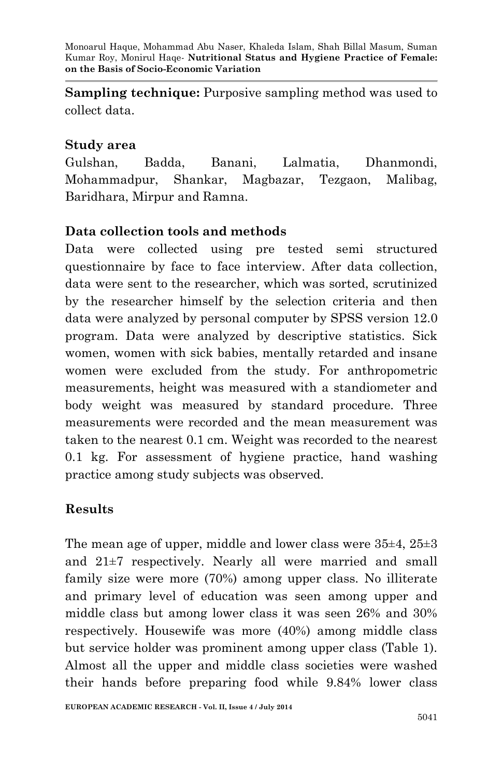**Sampling technique:** Purposive sampling method was used to collect data.

#### **Study area**

Gulshan, Badda, Banani, Lalmatia, Dhanmondi, Mohammadpur, Shankar, Magbazar, Tezgaon, Malibag, Baridhara, Mirpur and Ramna.

### **Data collection tools and methods**

Data were collected using pre tested semi structured questionnaire by face to face interview. After data collection, data were sent to the researcher, which was sorted, scrutinized by the researcher himself by the selection criteria and then data were analyzed by personal computer by SPSS version 12.0 program. Data were analyzed by descriptive statistics. Sick women, women with sick babies, mentally retarded and insane women were excluded from the study. For anthropometric measurements, height was measured with a standiometer and body weight was measured by standard procedure. Three measurements were recorded and the mean measurement was taken to the nearest 0.1 cm. Weight was recorded to the nearest 0.1 kg. For assessment of hygiene practice, hand washing practice among study subjects was observed.

## **Results**

The mean age of upper, middle and lower class were  $35\pm4$ ,  $25\pm3$ and 21±7 respectively. Nearly all were married and small family size were more (70%) among upper class. No illiterate and primary level of education was seen among upper and middle class but among lower class it was seen 26% and 30% respectively. Housewife was more (40%) among middle class but service holder was prominent among upper class (Table 1). Almost all the upper and middle class societies were washed their hands before preparing food while 9.84% lower class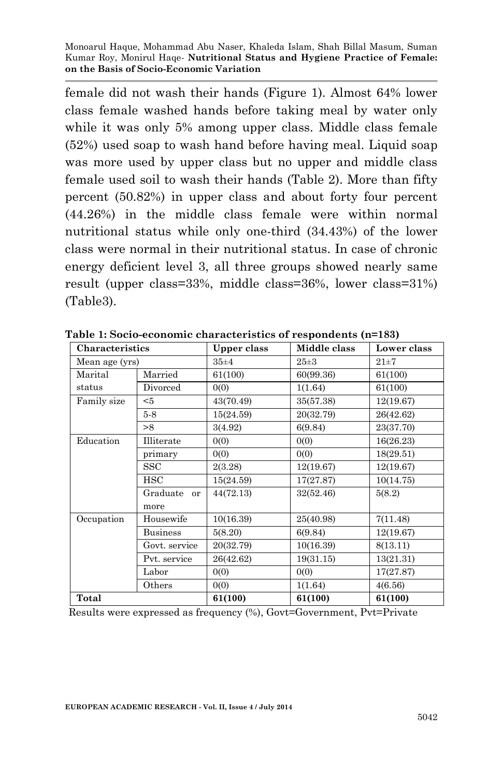female did not wash their hands (Figure 1). Almost 64% lower class female washed hands before taking meal by water only while it was only 5% among upper class. Middle class female (52%) used soap to wash hand before having meal. Liquid soap was more used by upper class but no upper and middle class female used soil to wash their hands (Table 2). More than fifty percent (50.82%) in upper class and about forty four percent (44.26%) in the middle class female were within normal nutritional status while only one-third (34.43%) of the lower class were normal in their nutritional status. In case of chronic energy deficient level 3, all three groups showed nearly same result (upper class=33%, middle class=36%, lower class=31%) (Table3).

| Characteristics |                 | Upper class | Middle class | Lower class |
|-----------------|-----------------|-------------|--------------|-------------|
| Mean age (yrs)  |                 | $35\pm4$    | $25\pm3$     | $21\pm7$    |
| Marital         | Married         | 61(100)     | 60(99.36)    | 61(100)     |
| status          | Divorced        | 0(0)        | 1(1.64)      | 61(100)     |
| Family size     | $5$             | 43(70.49)   | 35(57.38)    | 12(19.67)   |
|                 | $5-8$           | 15(24.59)   | 20(32.79)    | 26(42.62)   |
|                 | >8              | 3(4.92)     | 6(9.84)      | 23(37.70)   |
| Education       | Illiterate      | 0(0)        | 0(0)         | 16(26.23)   |
|                 | primary         | 0(0)        | 0(0)         | 18(29.51)   |
|                 | <b>SSC</b>      | 2(3.28)     | 12(19.67)    | 12(19.67)   |
|                 | HSC             | 15(24.59)   | 17(27.87)    | 10(14.75)   |
|                 | Graduate or     | 44(72.13)   | 32(52.46)    | 5(8.2)      |
|                 | more            |             |              |             |
| Occupation      | Housewife       | 10(16.39)   | 25(40.98)    | 7(11.48)    |
|                 | <b>Business</b> | 5(8.20)     | 6(9.84)      | 12(19.67)   |
|                 | Govt. service   | 20(32.79)   | 10(16.39)    | 8(13.11)    |
|                 | Pyt. service    | 26(42.62)   | 19(31.15)    | 13(21.31)   |
|                 | Labor           | 0(0)        | 0(0)         | 17(27.87)   |
|                 | Others          | 0(0)        | 1(1.64)      | 4(6.56)     |
| Total           |                 | 61(100)     | 61(100)      | 61(100)     |

**Table 1: Socio-economic characteristics of respondents (n=183)**

Results were expressed as frequency (%), Govt=Government, Pvt=Private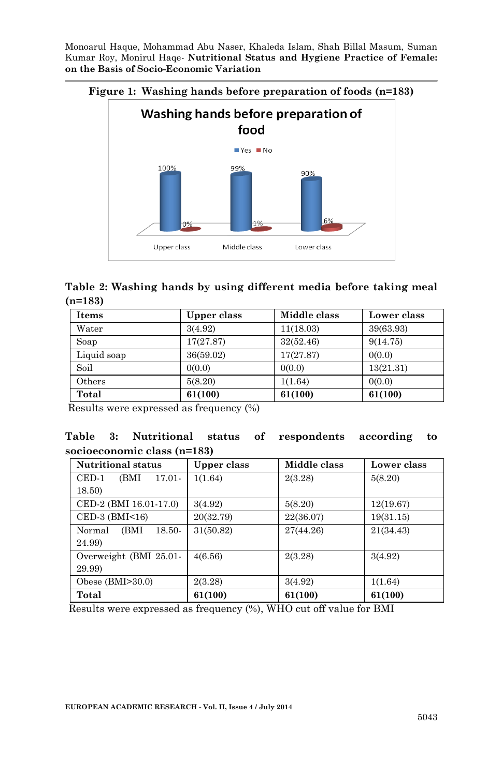

**Table 2: Washing hands by using different media before taking meal (n=183)**

| <b>Items</b> | Upper class | Middle class | Lower class |
|--------------|-------------|--------------|-------------|
| Water        | 3(4.92)     | 11(18.03)    | 39(63.93)   |
| Soap         | 17(27.87)   | 32(52.46)    | 9(14.75)    |
| Liquid soap  | 36(59.02)   | 17(27.87)    | 0(0.0)      |
| Soil         | 0(0.0)      | 0(0.0)       | 13(21.31)   |
| Others       | 5(8.20)     | 1(1.64)      | 0(0.0)      |
| Total        | 61(100)     | 61(100)      | 61(100)     |

Results were expressed as frequency (%)

|                             |  |  |  | Table 3: Nutritional status of respondents according to |  |
|-----------------------------|--|--|--|---------------------------------------------------------|--|
| socioeconomic class (n=183) |  |  |  |                                                         |  |

| <b>Nutritional status</b>           | Upper class | Middle class | Lower class |
|-------------------------------------|-------------|--------------|-------------|
| $\text{CED-1}$<br>(BMI<br>$17.01 -$ | 1(1.64)     | 2(3.28)      | 5(8.20)     |
| 18.50)                              |             |              |             |
| CED-2 (BMI 16.01-17.0)              | 3(4.92)     | 5(8.20)      | 12(19.67)   |
| $\text{CED-3}$ (BMI<16)             | 20(32.79)   | 22(36.07)    | 19(31.15)   |
| (BMI<br>Normal<br>18.50-            | 31(50.82)   | 27(44.26)    | 21(34.43)   |
| 24.99)                              |             |              |             |
| Overweight (BMI 25.01-              | 4(6.56)     | 2(3.28)      | 3(4.92)     |
| 29.99)                              |             |              |             |
| Obese $(BMI>30.0)$                  | 2(3.28)     | 3(4.92)      | 1(1.64)     |
| Total                               | 61(100)     | 61(100)      | 61(100)     |

Results were expressed as frequency (%), WHO cut off value for BMI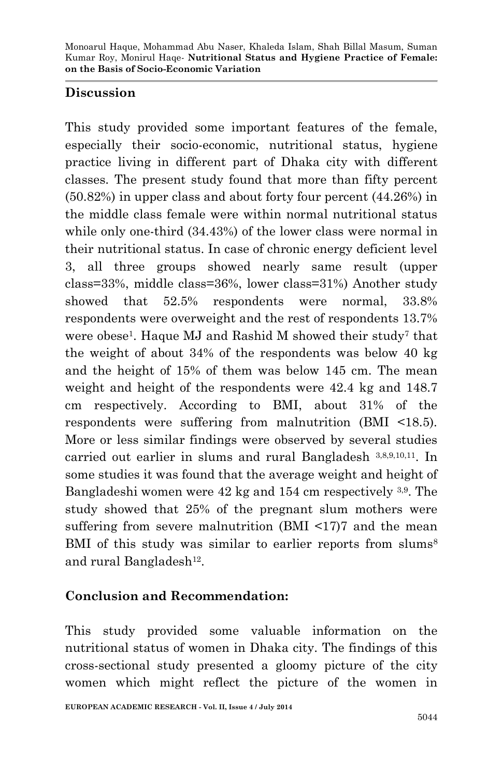### **Discussion**

This study provided some important features of the female, especially their socio-economic, nutritional status, hygiene practice living in different part of Dhaka city with different classes. The present study found that more than fifty percent (50.82%) in upper class and about forty four percent (44.26%) in the middle class female were within normal nutritional status while only one-third (34.43%) of the lower class were normal in their nutritional status. In case of chronic energy deficient level 3, all three groups showed nearly same result (upper class=33%, middle class=36%, lower class=31%) Another study showed that 52.5% respondents were normal, 33.8% respondents were overweight and the rest of respondents 13.7% were obese<sup>1</sup>. Haque MJ and Rashid M showed their study<sup>7</sup> that the weight of about 34% of the respondents was below 40 kg and the height of 15% of them was below 145 cm. The mean weight and height of the respondents were 42.4 kg and 148.7 cm respectively. According to BMI, about 31% of the respondents were suffering from malnutrition (BMI <18.5). More or less similar findings were observed by several studies carried out earlier in slums and rural Bangladesh 3,8,9,10,11 . In some studies it was found that the average weight and height of Bangladeshi women were 42 kg and 154 cm respectively 3,9. The study showed that 25% of the pregnant slum mothers were suffering from severe malnutrition (BMI <17)7 and the mean BMI of this study was similar to earlier reports from slums<sup>8</sup> and rural Bangladesh<sup>12</sup>.

## **Conclusion and Recommendation:**

This study provided some valuable information on the nutritional status of women in Dhaka city. The findings of this cross-sectional study presented a gloomy picture of the city women which might reflect the picture of the women in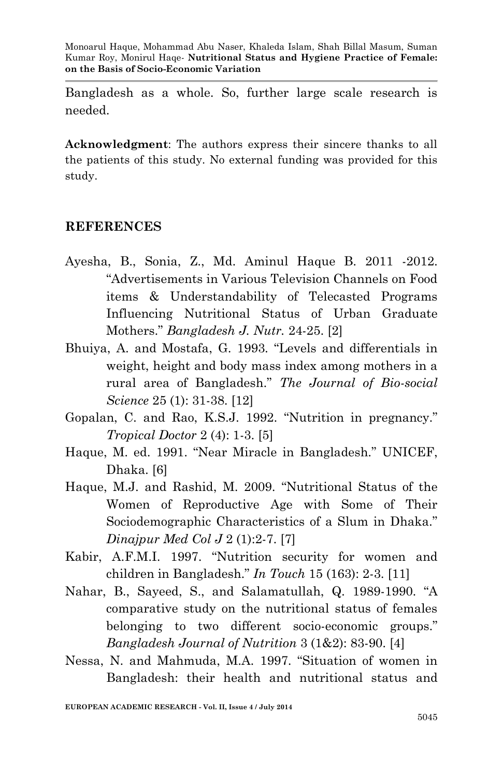Bangladesh as a whole. So, further large scale research is needed.

**Acknowledgment**: The authors express their sincere thanks to all the patients of this study. No external funding was provided for this study.

#### **REFERENCES**

- Ayesha, B., Sonia, Z., Md. Aminul Haque B. 2011 -2012. "Advertisements in Various Television Channels on Food items & Understandability of Telecasted Programs Influencing Nutritional Status of Urban Graduate Mothers." *Bangladesh J. Nutr.* 24-25. [2]
- Bhuiya, A. and Mostafa, G. 1993. "Levels and differentials in weight, height and body mass index among mothers in a rural area of Bangladesh." *The Journal of Bio-social Science* 25 (1): 31-38. [12]
- Gopalan, C. and Rao, K.S.J. 1992. "Nutrition in pregnancy." *Tropical Doctor* 2 (4): 1-3. [5]
- Haque, M. ed. 1991. "Near Miracle in Bangladesh." UNICEF, Dhaka. [6]
- Haque, M.J. and Rashid, M. 2009. "Nutritional Status of the Women of Reproductive Age with Some of Their Sociodemographic Characteristics of a Slum in Dhaka." *Dinajpur Med Col J* 2 (1):2-7. [7]
- Kabir, A.F.M.I. 1997. "Nutrition security for women and children in Bangladesh." *In Touch* 15 (163): 2-3. [11]
- Nahar, B., Sayeed, S., and Salamatullah, Q. 1989-1990. "A comparative study on the nutritional status of females belonging to two different socio-economic groups." *Bangladesh Journal of Nutrition* 3 (1&2): 83-90. [4]
- Nessa, N. and Mahmuda, M.A. 1997. "Situation of women in Bangladesh: their health and nutritional status and